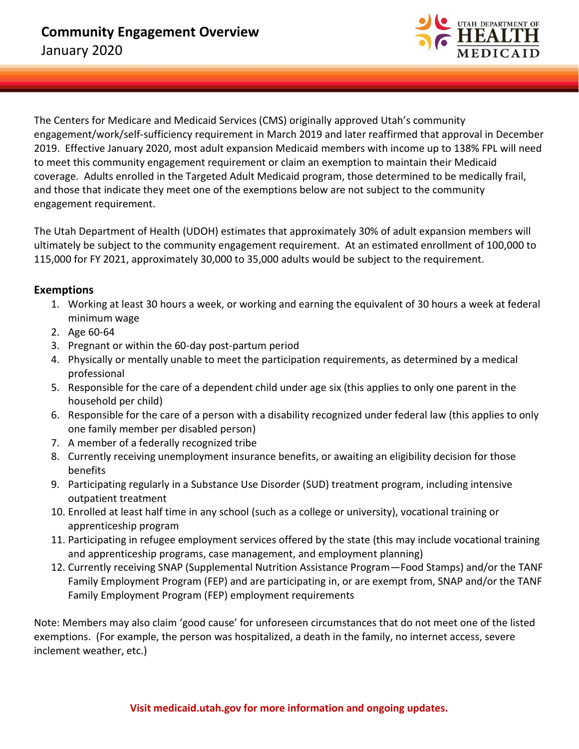

The Centers for Medicare and Medicaid Services (CMS) originally approved Utah's community engagement/work/self-sufficiency requirement in March 2019 and later reaffirmed that approval in December 2019. Effective January 2020, most adult expansion Medicaid members with income up to 138% FPL will need to meet this community engagement requirement or claim an exemption to maintain their Medicaid coverage. Adults enrolled in the Targeted Adult Medicaid program, those determined to be medically frail, and those that indicate they meet one of the exemptions below are not subject to the community engagement requirement.

The Utah Department of Health (UDOH) estimates that approximately 30% of adult expansion members will ultimately be subject to the community engagement requirement. At an estimated enrollment of 100,000 to 115,000 for FY 2021, approximately 30,000 to 35,000 adults would be subject to the requirement.

## **Exemptions**

- 1. Working at least 30 hours a week, or working and earning the equivalent of 30 hours a week at federal minimum wage
- 2. Age 60-64
- 3. Pregnant or within the 60-day post-partum period
- 4. Physically or mentally unable to meet the participation requirements, as determined by a medical professional
- 5. Responsible for the care of a dependent child under age six (this applies to only one parent in the household per child)
- 6. Responsible for the care of a person with a disability recognized under federal law (this applies to only one family member per disabled person)
- 7. A member of a federally recognized tribe
- 8. Currently receiving unemployment insurance benefits, or awaiting an eligibility decision for those benefits
- 9. Participating regularly in a Substance Use Disorder (SUD) treatment program, including intensive outpatient treatment
- 10. Enrolled at least half time in any school (such as a college or university), vocational training or apprenticeship program
- 11. Participating in refugee employment services offered by the state (this may include vocational training and apprenticeship programs, case management, and employment planning)
- 12. Currently receiving SNAP (Supplemental Nutrition Assistance Program—Food Stamps) and/or the TANF Family Employment Program (FEP) and are participating in, or are exempt from, SNAP and/or the TANF Family Employment Program (FEP) employment requirements

Note: Members may also claim 'good cause' for unforeseen circumstances that do not meet one of the listed exemptions. (For example, the person was hospitalized, a death in the family, no internet access, severe inclement weather, etc.)